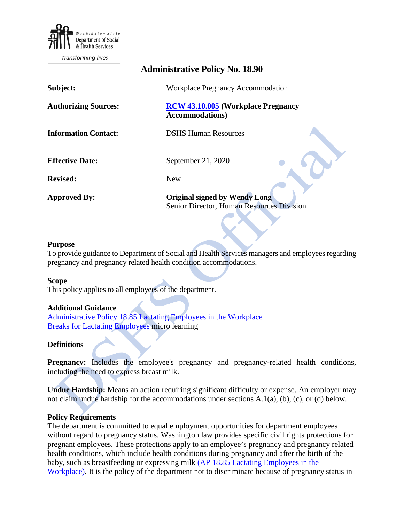

# **Administrative Policy No. 18.90 Subject:** Workplace Pregnancy Accommodation **Authorizing Sources: [RCW 43.10.005](https://apps.leg.wa.gov/rcw/default.aspx?cite=43.10.005) (Workplace Pregnancy Accommodations) Information Contact:** DSHS Human Resources **Effective Date:** September 21, 2020 **Revised:** New **Approved By: Original signed by Wendy Long** Senior Director, Human Resources Division

### **Purpose**

To provide guidance to Department of Social and Health Services managers and employees regarding pregnancy and pregnancy related health condition accommodations.

#### **Scope**

This policy applies to all employees of the department.

#### **Additional Guidance**

[Administrative Policy 18.85 Lactating Employees in the Workplace](http://one.dshs.wa.lcl/Policies/Administrative/DSHS-AP-18-85.pdf) [Breaks for Lactating Employees](https://www.youtube.com/watch?v=aynmXw6v2Ls&feature=youtu.be) micro learning

#### **Definitions**

**Pregnancy:** Includes the employee's pregnancy and pregnancy-related health conditions, including the need to express breast milk.

**Undue Hardship:** Means an action requiring significant difficulty or expense. An employer may not claim undue hardship for the accommodations under sections A.1(a), (b), (c), or (d) below.

#### **Policy Requirements**

The department is committed to equal employment opportunities for department employees without regard to pregnancy status. Washington law provides specific civil rights protections for pregnant employees. These protections apply to an employee's pregnancy and pregnancy related health conditions, which include health conditions during pregnancy and after the birth of the baby, such as breastfeeding or expressing milk [\(AP 18.85 Lactating Employees in the](http://one.dshs.wa.lcl/Policies/Administrative/DSHS-AP-18-85.pdf)  [Workplace\).](http://one.dshs.wa.lcl/Policies/Administrative/DSHS-AP-18-85.pdf) It is the policy of the department not to discriminate because of pregnancy status in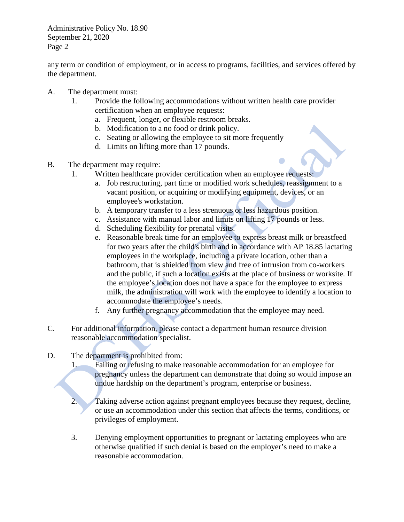Administrative Policy No. 18.90 September 21, 2020 Page 2

any term or condition of employment, or in access to programs, facilities, and services offered by the department.

- A. The department must:
	- 1. Provide the following accommodations without written health care provider certification when an employee requests:
		- a. Frequent, longer, or flexible restroom breaks.
		- b. Modification to a no food or drink policy.
		- c. Seating or allowing the employee to sit more frequently
		- d. Limits on lifting more than 17 pounds.
- B. The department may require:
	- 1. Written healthcare provider certification when an employee requests:
		- a. Job restructuring, part time or modified work schedules, reassignment to a vacant position, or acquiring or modifying equipment, devices, or an employee's workstation.
		- b. A temporary transfer to a less strenuous or less hazardous position.
		- c. Assistance with manual labor and limits on lifting 17 pounds or less.
		- d. Scheduling flexibility for prenatal visits.
		- e. Reasonable break time for an employee to express breast milk or breastfeed for two years after the child's birth and in accordance with AP 18.85 lactating employees in the workplace, including a private location, other than a bathroom, that is shielded from view and free of intrusion from co-workers and the public, if such a location exists at the place of business or worksite. If the employee's location does not have a space for the employee to express milk, the administration will work with the employee to identify a location to accommodate the employee's needs.
		- f. Any further pregnancy accommodation that the employee may need.
- C. For additional information, please contact a department human resource division reasonable accommodation specialist.
- D. The department is prohibited from:
	- 1. Failing or refusing to make reasonable accommodation for an employee for pregnancy unless the department can demonstrate that doing so would impose an undue hardship on the department's program, enterprise or business.
	- 2. Taking adverse action against pregnant employees because they request, decline, or use an accommodation under this section that affects the terms, conditions, or privileges of employment.
	- 3. Denying employment opportunities to pregnant or lactating employees who are otherwise qualified if such denial is based on the employer's need to make a reasonable accommodation.